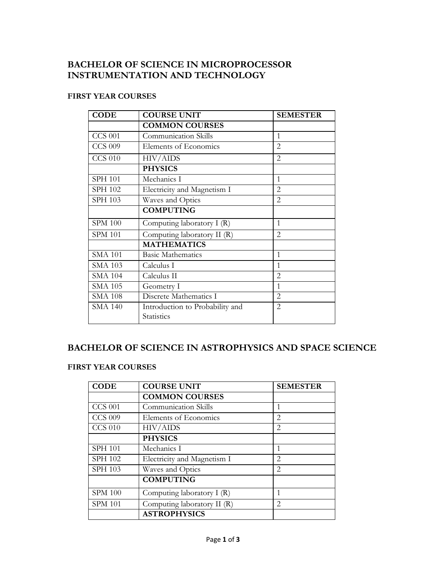### **BACHELOR OF SCIENCE IN MICROPROCESSOR INSTRUMENTATION AND TECHNOLOGY**

### **FIRST YEAR COURSES**

| <b>CODE</b>    | <b>COURSE UNIT</b>                                   | <b>SEMESTER</b> |
|----------------|------------------------------------------------------|-----------------|
|                | <b>COMMON COURSES</b>                                |                 |
| <b>CCS 001</b> | <b>Communication Skills</b>                          | $\mathbf{1}$    |
| <b>CCS 009</b> | Elements of Economics                                | $\overline{2}$  |
| <b>CCS 010</b> | <b>HIV/AIDS</b>                                      | $\overline{2}$  |
|                | <b>PHYSICS</b>                                       |                 |
| <b>SPH 101</b> | Mechanics I                                          | $\mathbf{1}$    |
| <b>SPH 102</b> | Electricity and Magnetism I                          | $\overline{2}$  |
| SPH 103        | Waves and Optics                                     | $\overline{2}$  |
|                | <b>COMPUTING</b>                                     |                 |
| <b>SPM 100</b> | Computing laboratory I (R)                           | $\mathbf{1}$    |
| <b>SPM 101</b> | Computing laboratory II (R)                          | $\overline{2}$  |
|                | <b>MATHEMATICS</b>                                   |                 |
| <b>SMA 101</b> | <b>Basic Mathematics</b>                             | 1               |
| <b>SMA 103</b> | Calculus I                                           | 1               |
| <b>SMA 104</b> | Calculus II                                          | $\overline{2}$  |
| <b>SMA 105</b> | Geometry I                                           | 1               |
| <b>SMA 108</b> | Discrete Mathematics I                               | $\overline{2}$  |
| <b>SMA 140</b> | Introduction to Probability and<br><b>Statistics</b> | $\overline{2}$  |

## **BACHELOR OF SCIENCE IN ASTROPHYSICS AND SPACE SCIENCE**

#### **FIRST YEAR COURSES**

| <b>CODE</b>    | <b>COURSE UNIT</b>          | <b>SEMESTER</b>               |
|----------------|-----------------------------|-------------------------------|
|                | <b>COMMON COURSES</b>       |                               |
| <b>CCS 001</b> | <b>Communication Skills</b> | 1                             |
| <b>CCS 009</b> | Elements of Economics       | 2                             |
| <b>CCS 010</b> | <b>HIV/AIDS</b>             | $\mathfrak{D}_{\mathfrak{p}}$ |
|                | <b>PHYSICS</b>              |                               |
| <b>SPH 101</b> | Mechanics I                 | 1                             |
| <b>SPH 102</b> | Electricity and Magnetism I | $\mathfrak{D}$                |
| SPH 103        | Waves and Optics            | $\mathfrak{D}$                |
|                | <b>COMPUTING</b>            |                               |
| <b>SPM 100</b> | Computing laboratory I (R)  | 1                             |
| <b>SPM 101</b> | Computing laboratory II (R) | $\mathfrak{D}$                |
|                | <b>ASTROPHYSICS</b>         |                               |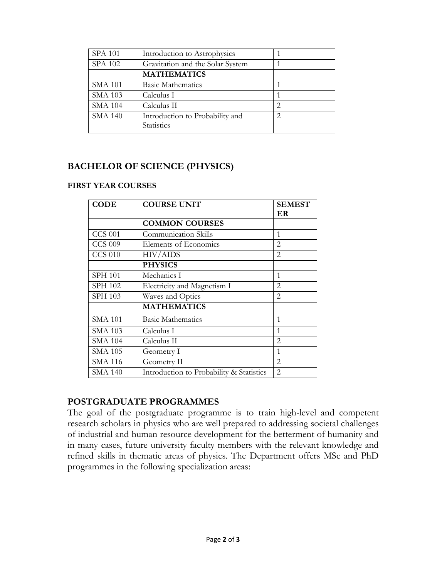| <b>SPA 101</b> | Introduction to Astrophysics     |                             |
|----------------|----------------------------------|-----------------------------|
| SPA 102        | Gravitation and the Solar System |                             |
|                | <b>MATHEMATICS</b>               |                             |
| <b>SMA 101</b> | <b>Basic Mathematics</b>         |                             |
| <b>SMA 103</b> | Calculus I                       |                             |
| <b>SMA 104</b> | Calculus II                      | $\mathcal{D}_{\mathcal{L}}$ |
| <b>SMA 140</b> | Introduction to Probability and  | $\mathcal{D}_{\mathcal{L}}$ |
|                | <b>Statistics</b>                |                             |

## **BACHELOR OF SCIENCE (PHYSICS)**

### **FIRST YEAR COURSES**

| <b>CODE</b>    | <b>COURSE UNIT</b>                       | <b>SEMEST</b>                 |
|----------------|------------------------------------------|-------------------------------|
|                |                                          | ER                            |
|                | <b>COMMON COURSES</b>                    |                               |
| <b>CCS 001</b> | <b>Communication Skills</b>              | 1                             |
| <b>CCS 009</b> | Elements of Economics                    | $\mathfrak{D}$                |
| <b>CCS 010</b> | <b>HIV/AIDS</b>                          | $\overline{2}$                |
|                | <b>PHYSICS</b>                           |                               |
| <b>SPH 101</b> | Mechanics I                              | 1                             |
| SPH 102        | Electricity and Magnetism I              | $\mathfrak{D}_{\mathfrak{p}}$ |
| SPH 103        | Waves and Optics                         | $\mathfrak{D}$                |
|                | <b>MATHEMATICS</b>                       |                               |
| <b>SMA 101</b> | <b>Basic Mathematics</b>                 | 1                             |
| <b>SMA 103</b> | Calculus I                               |                               |
| <b>SMA 104</b> | Calculus II                              | 2                             |
| <b>SMA 105</b> | Geometry I                               | 1                             |
| <b>SMA 116</b> | Geometry II                              | $\overline{2}$                |
| SMA 140        | Introduction to Probability & Statistics | $\mathfrak{D}$                |

### **POSTGRADUATE PROGRAMMES**

The goal of the postgraduate programme is to train high-level and competent research scholars in physics who are well prepared to addressing societal challenges of industrial and human resource development for the betterment of humanity and in many cases, future university faculty members with the relevant knowledge and refined skills in thematic areas of physics. The Department offers MSc and PhD programmes in the following specialization areas: